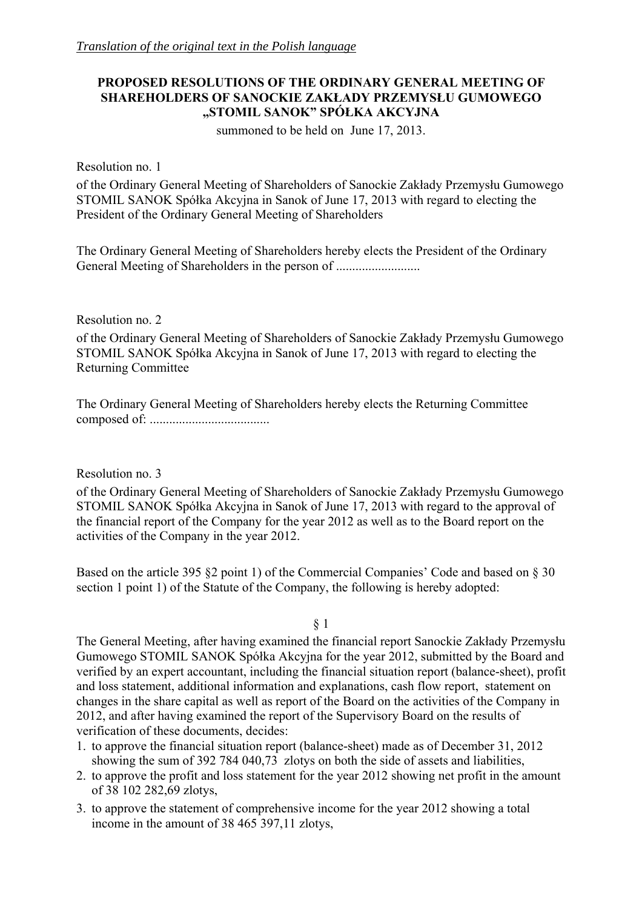## **PROPOSED RESOLUTIONS OF THE ORDINARY GENERAL MEETING OF SHAREHOLDERS OF SANOCKIE ZAKŁADY PRZEMYSŁU GUMOWEGO "STOMIL SANOK" SPÓŁKA AKCYJNA**

summoned to be held on June 17, 2013.

Resolution no. 1

of the Ordinary General Meeting of Shareholders of Sanockie Zakłady Przemysłu Gumowego STOMIL SANOK Spółka Akcyjna in Sanok of June 17, 2013 with regard to electing the President of the Ordinary General Meeting of Shareholders

The Ordinary General Meeting of Shareholders hereby elects the President of the Ordinary General Meeting of Shareholders in the person of ................................

Resolution no. 2

of the Ordinary General Meeting of Shareholders of Sanockie Zakłady Przemysłu Gumowego STOMIL SANOK Spółka Akcyjna in Sanok of June 17, 2013 with regard to electing the Returning Committee

The Ordinary General Meeting of Shareholders hereby elects the Returning Committee composed of: .....................................

Resolution no. 3

of the Ordinary General Meeting of Shareholders of Sanockie Zakłady Przemysłu Gumowego STOMIL SANOK Spółka Akcyjna in Sanok of June 17, 2013 with regard to the approval of the financial report of the Company for the year 2012 as well as to the Board report on the activities of the Company in the year 2012.

Based on the article 395 §2 point 1) of the Commercial Companies' Code and based on § 30 section 1 point 1) of the Statute of the Company, the following is hereby adopted:

§ 1

The General Meeting, after having examined the financial report Sanockie Zakłady Przemysłu Gumowego STOMIL SANOK Spółka Akcyjna for the year 2012, submitted by the Board and verified by an expert accountant, including the financial situation report (balance-sheet), profit and loss statement, additional information and explanations, cash flow report, statement on changes in the share capital as well as report of the Board on the activities of the Company in 2012, and after having examined the report of the Supervisory Board on the results of verification of these documents, decides:

- 1. to approve the financial situation report (balance-sheet) made as of December 31, 2012 showing the sum of 392 784 040,73 zlotys on both the side of assets and liabilities,
- 2. to approve the profit and loss statement for the year 2012 showing net profit in the amount of 38 102 282,69 zlotys,
- 3. to approve the statement of comprehensive income for the year 2012 showing a total income in the amount of 38 465 397,11 zlotys,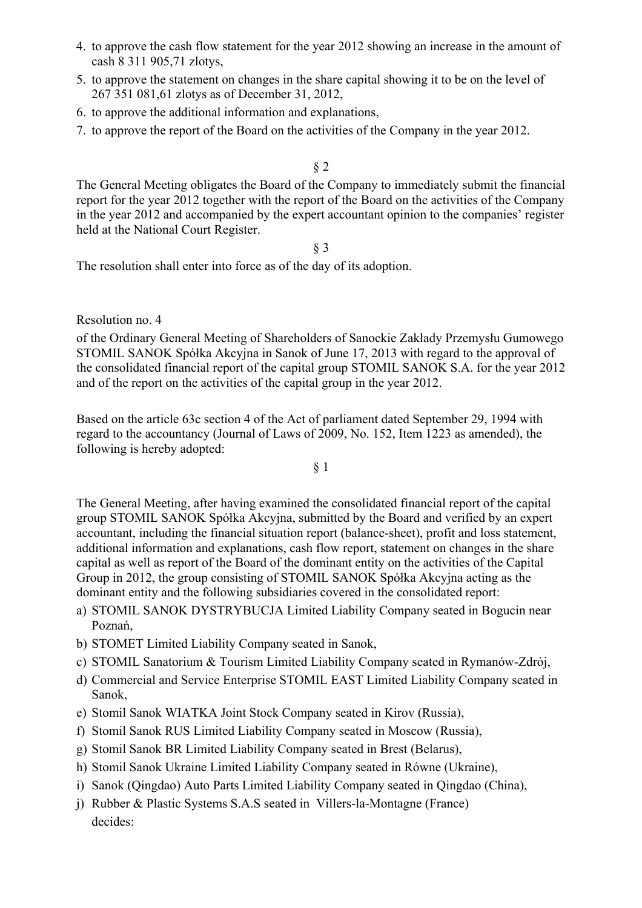- 4. to approve the cash flow statement for the year 2012 showing an increase in the amount of cash 8 311 905,71 zlotys,
- 5. to approve the statement on changes in the share capital showing it to be on the level of 267 351 081,61 zlotys as of December 31, 2012,
- 6. to approve the additional information and explanations,
- 7. to approve the report of the Board on the activities of the Company in the year 2012.

## § 2

The General Meeting obligates the Board of the Company to immediately submit the financial report for the year 2012 together with the report of the Board on the activities of the Company in the year 2012 and accompanied by the expert accountant opinion to the companies' register held at the National Court Register.

## § 3

The resolution shall enter into force as of the day of its adoption.

#### Resolution no. 4

of the Ordinary General Meeting of Shareholders of Sanockie Zakłady Przemysłu Gumowego STOMIL SANOK Spółka Akcyjna in Sanok of June 17, 2013 with regard to the approval of the consolidated financial report of the capital group STOMIL SANOK S.A. for the year 2012 and of the report on the activities of the capital group in the year 2012.

Based on the article 63c section 4 of the Act of parliament dated September 29, 1994 with regard to the accountancy (Journal of Laws of 2009, No. 152, Item 1223 as amended), the following is hereby adopted:

## § 1

The General Meeting, after having examined the consolidated financial report of the capital group STOMIL SANOK Spółka Akcyjna, submitted by the Board and verified by an expert accountant, including the financial situation report (balance-sheet), profit and loss statement, additional information and explanations, cash flow report, statement on changes in the share capital as well as report of the Board of the dominant entity on the activities of the Capital Group in 2012, the group consisting of STOMIL SANOK Spółka Akcyjna acting as the dominant entity and the following subsidiaries covered in the consolidated report:

- a) STOMIL SANOK DYSTRYBUCJA Limited Liability Company seated in Bogucin near Poznań,
- b) STOMET Limited Liability Company seated in Sanok,
- c) STOMIL Sanatorium & Tourism Limited Liability Company seated in Rymanów-Zdrój,
- d) Commercial and Service Enterprise STOMIL EAST Limited Liability Company seated in Sanok,
- e) Stomil Sanok WIATKA Joint Stock Company seated in Kirov (Russia),
- f) Stomil Sanok RUS Limited Liability Company seated in Moscow (Russia),
- g) Stomil Sanok BR Limited Liability Company seated in Brest (Belarus),
- h) Stomil Sanok Ukraine Limited Liability Company seated in Równe (Ukraine),
- i) Sanok (Qingdao) Auto Parts Limited Liability Company seated in Qingdao (China),
- j) Rubber & Plastic Systems S.A.S seated in Villers-la-Montagne (France) decides: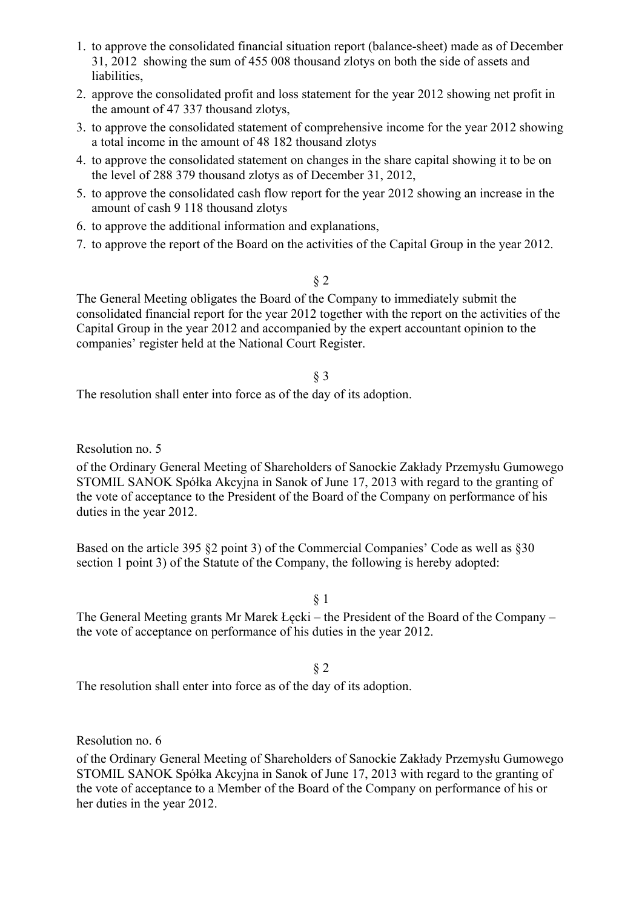- 1. to approve the consolidated financial situation report (balance-sheet) made as of December 31, 2012 showing the sum of 455 008 thousand zlotys on both the side of assets and liabilities,
- 2. approve the consolidated profit and loss statement for the year 2012 showing net profit in the amount of 47 337 thousand zlotys,
- 3. to approve the consolidated statement of comprehensive income for the year 2012 showing a total income in the amount of 48 182 thousand zlotys
- 4. to approve the consolidated statement on changes in the share capital showing it to be on the level of 288 379 thousand zlotys as of December 31, 2012,
- 5. to approve the consolidated cash flow report for the year 2012 showing an increase in the amount of cash 9 118 thousand zlotys
- 6. to approve the additional information and explanations,
- 7. to approve the report of the Board on the activities of the Capital Group in the year 2012.

## § 2

The General Meeting obligates the Board of the Company to immediately submit the consolidated financial report for the year 2012 together with the report on the activities of the Capital Group in the year 2012 and accompanied by the expert accountant opinion to the companies' register held at the National Court Register.

#### § 3

The resolution shall enter into force as of the day of its adoption.

Resolution no. 5

of the Ordinary General Meeting of Shareholders of Sanockie Zakłady Przemysłu Gumowego STOMIL SANOK Spółka Akcyjna in Sanok of June 17, 2013 with regard to the granting of the vote of acceptance to the President of the Board of the Company on performance of his duties in the year 2012.

Based on the article 395 §2 point 3) of the Commercial Companies' Code as well as §30 section 1 point 3) of the Statute of the Company, the following is hereby adopted:

#### § 1

The General Meeting grants Mr Marek Łęcki – the President of the Board of the Company – the vote of acceptance on performance of his duties in the year 2012.

#### § 2

The resolution shall enter into force as of the day of its adoption.

Resolution no. 6

of the Ordinary General Meeting of Shareholders of Sanockie Zakłady Przemysłu Gumowego STOMIL SANOK Spółka Akcyjna in Sanok of June 17, 2013 with regard to the granting of the vote of acceptance to a Member of the Board of the Company on performance of his or her duties in the year 2012.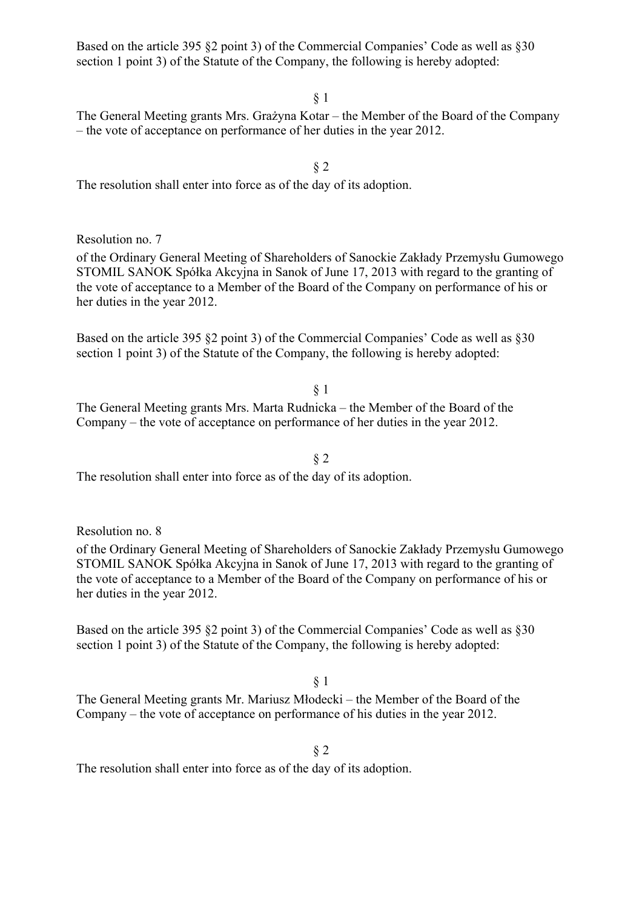Based on the article 395 §2 point 3) of the Commercial Companies' Code as well as §30 section 1 point 3) of the Statute of the Company, the following is hereby adopted:

The General Meeting grants Mrs. Grażyna Kotar – the Member of the Board of the Company – the vote of acceptance on performance of her duties in the year 2012.

§ 2 The resolution shall enter into force as of the day of its adoption.

Resolution no. 7

of the Ordinary General Meeting of Shareholders of Sanockie Zakłady Przemysłu Gumowego STOMIL SANOK Spółka Akcyjna in Sanok of June 17, 2013 with regard to the granting of the vote of acceptance to a Member of the Board of the Company on performance of his or her duties in the year 2012.

Based on the article 395 §2 point 3) of the Commercial Companies' Code as well as §30 section 1 point 3) of the Statute of the Company, the following is hereby adopted:

§ 1

The General Meeting grants Mrs. Marta Rudnicka – the Member of the Board of the Company – the vote of acceptance on performance of her duties in the year 2012.

§ 2 The resolution shall enter into force as of the day of its adoption.

Resolution no. 8

of the Ordinary General Meeting of Shareholders of Sanockie Zakłady Przemysłu Gumowego STOMIL SANOK Spółka Akcyjna in Sanok of June 17, 2013 with regard to the granting of the vote of acceptance to a Member of the Board of the Company on performance of his or her duties in the year 2012.

Based on the article 395 §2 point 3) of the Commercial Companies' Code as well as §30 section 1 point 3) of the Statute of the Company, the following is hereby adopted:

#### § 1

The General Meeting grants Mr. Mariusz Młodecki – the Member of the Board of the Company – the vote of acceptance on performance of his duties in the year 2012.

#### § 2

The resolution shall enter into force as of the day of its adoption.

§ 1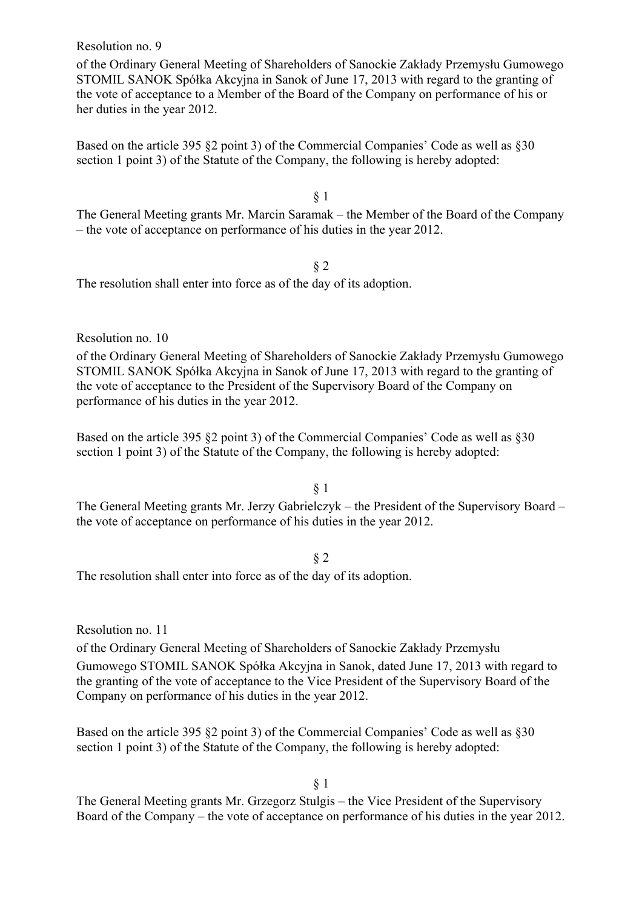Resolution no. 9

of the Ordinary General Meeting of Shareholders of Sanockie Zakłady Przemysłu Gumowego STOMIL SANOK Spółka Akcyjna in Sanok of June 17, 2013 with regard to the granting of the vote of acceptance to a Member of the Board of the Company on performance of his or her duties in the year 2012.

Based on the article 395 §2 point 3) of the Commercial Companies' Code as well as §30 section 1 point 3) of the Statute of the Company, the following is hereby adopted:

§ 1

The General Meeting grants Mr. Marcin Saramak – the Member of the Board of the Company – the vote of acceptance on performance of his duties in the year 2012.

§ 2

The resolution shall enter into force as of the day of its adoption.

Resolution no. 10

of the Ordinary General Meeting of Shareholders of Sanockie Zakłady Przemysłu Gumowego STOMIL SANOK Spółka Akcyjna in Sanok of June 17, 2013 with regard to the granting of the vote of acceptance to the President of the Supervisory Board of the Company on performance of his duties in the year 2012.

Based on the article 395 §2 point 3) of the Commercial Companies' Code as well as §30 section 1 point 3) of the Statute of the Company, the following is hereby adopted:

§ 1

The General Meeting grants Mr. Jerzy Gabrielczyk – the President of the Supervisory Board – the vote of acceptance on performance of his duties in the year 2012.

§ 2

The resolution shall enter into force as of the day of its adoption.

Resolution no. 11

of the Ordinary General Meeting of Shareholders of Sanockie Zakłady Przemysłu Gumowego STOMIL SANOK Spółka Akcyjna in Sanok, dated June 17, 2013 with regard to the granting of the vote of acceptance to the Vice President of the Supervisory Board of the Company on performance of his duties in the year 2012.

Based on the article 395 §2 point 3) of the Commercial Companies' Code as well as §30 section 1 point 3) of the Statute of the Company, the following is hereby adopted:

§ 1

The General Meeting grants Mr. Grzegorz Stulgis – the Vice President of the Supervisory Board of the Company – the vote of acceptance on performance of his duties in the year 2012.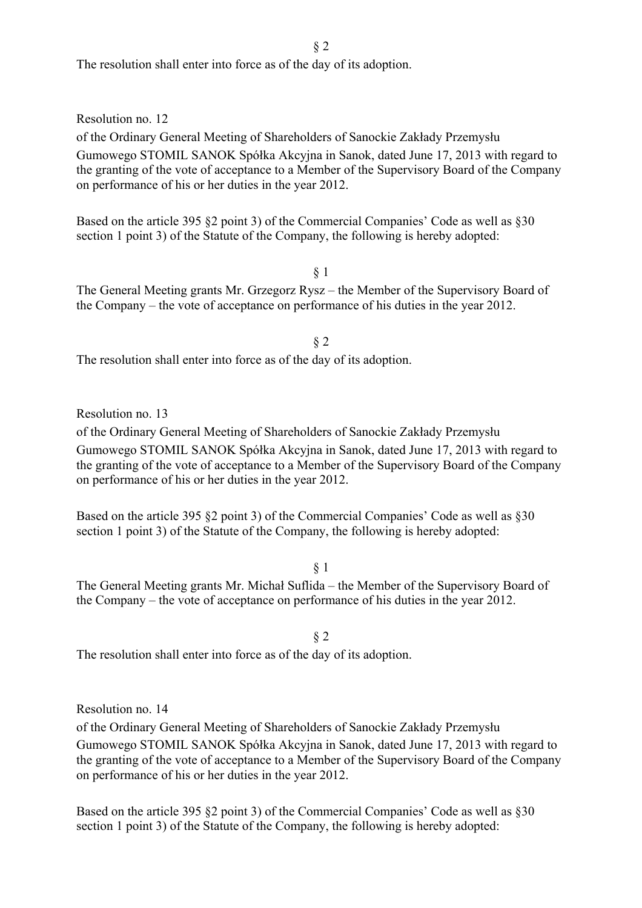The resolution shall enter into force as of the day of its adoption.

Resolution no. 12

of the Ordinary General Meeting of Shareholders of Sanockie Zakłady Przemysłu Gumowego STOMIL SANOK Spółka Akcyjna in Sanok, dated June 17, 2013 with regard to the granting of the vote of acceptance to a Member of the Supervisory Board of the Company on performance of his or her duties in the year 2012.

Based on the article 395 §2 point 3) of the Commercial Companies' Code as well as §30 section 1 point 3) of the Statute of the Company, the following is hereby adopted:

§ 1

The General Meeting grants Mr. Grzegorz Rysz – the Member of the Supervisory Board of the Company – the vote of acceptance on performance of his duties in the year 2012.

The resolution shall enter into force as of the day of its adoption.

Resolution no. 13

of the Ordinary General Meeting of Shareholders of Sanockie Zakłady Przemysłu Gumowego STOMIL SANOK Spółka Akcyjna in Sanok, dated June 17, 2013 with regard to the granting of the vote of acceptance to a Member of the Supervisory Board of the Company on performance of his or her duties in the year 2012.

Based on the article 395 §2 point 3) of the Commercial Companies' Code as well as §30 section 1 point 3) of the Statute of the Company, the following is hereby adopted:

§ 1

The General Meeting grants Mr. Michał Suflida – the Member of the Supervisory Board of the Company – the vote of acceptance on performance of his duties in the year 2012.

§ 2

The resolution shall enter into force as of the day of its adoption.

Resolution no. 14

of the Ordinary General Meeting of Shareholders of Sanockie Zakłady Przemysłu

Gumowego STOMIL SANOK Spółka Akcyjna in Sanok, dated June 17, 2013 with regard to the granting of the vote of acceptance to a Member of the Supervisory Board of the Company on performance of his or her duties in the year 2012.

Based on the article 395 §2 point 3) of the Commercial Companies' Code as well as §30 section 1 point 3) of the Statute of the Company, the following is hereby adopted:

§ 2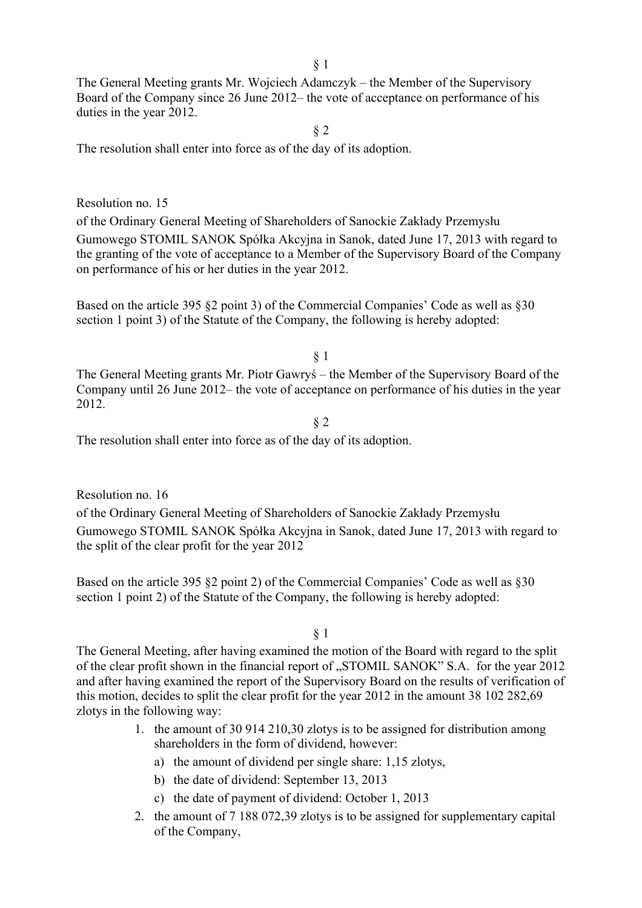§ 1

The General Meeting grants Mr. Wojciech Adamczyk – the Member of the Supervisory Board of the Company since 26 June 2012– the vote of acceptance on performance of his duties in the year 2012.

§ 2

The resolution shall enter into force as of the day of its adoption.

#### Resolution no. 15

of the Ordinary General Meeting of Shareholders of Sanockie Zakłady Przemysłu Gumowego STOMIL SANOK Spółka Akcyjna in Sanok, dated June 17, 2013 with regard to the granting of the vote of acceptance to a Member of the Supervisory Board of the Company on performance of his or her duties in the year 2012.

Based on the article 395 §2 point 3) of the Commercial Companies' Code as well as §30 section 1 point 3) of the Statute of the Company, the following is hereby adopted:

§ 1

The General Meeting grants Mr. Piotr Gawryś – the Member of the Supervisory Board of the Company until 26 June 2012– the vote of acceptance on performance of his duties in the year 2012.

§ 2

The resolution shall enter into force as of the day of its adoption.

Resolution no. 16

of the Ordinary General Meeting of Shareholders of Sanockie Zakłady Przemysłu Gumowego STOMIL SANOK Spółka Akcyjna in Sanok, dated June 17, 2013 with regard to the split of the clear profit for the year 2012

Based on the article 395 §2 point 2) of the Commercial Companies' Code as well as §30 section 1 point 2) of the Statute of the Company, the following is hereby adopted:

§ 1

The General Meeting, after having examined the motion of the Board with regard to the split of the clear profit shown in the financial report of "STOMIL SANOK" S.A. for the year 2012 and after having examined the report of the Supervisory Board on the results of verification of this motion, decides to split the clear profit for the year 2012 in the amount 38 102 282,69 zlotys in the following way:

- 1. the amount of 30 914 210,30 zlotys is to be assigned for distribution among shareholders in the form of dividend, however:
	- a) the amount of dividend per single share: 1,15 zlotys,
	- b) the date of dividend: September 13, 2013
	- c) the date of payment of dividend: October 1, 2013
- 2. the amount of 7 188 072,39 zlotys is to be assigned for supplementary capital of the Company,